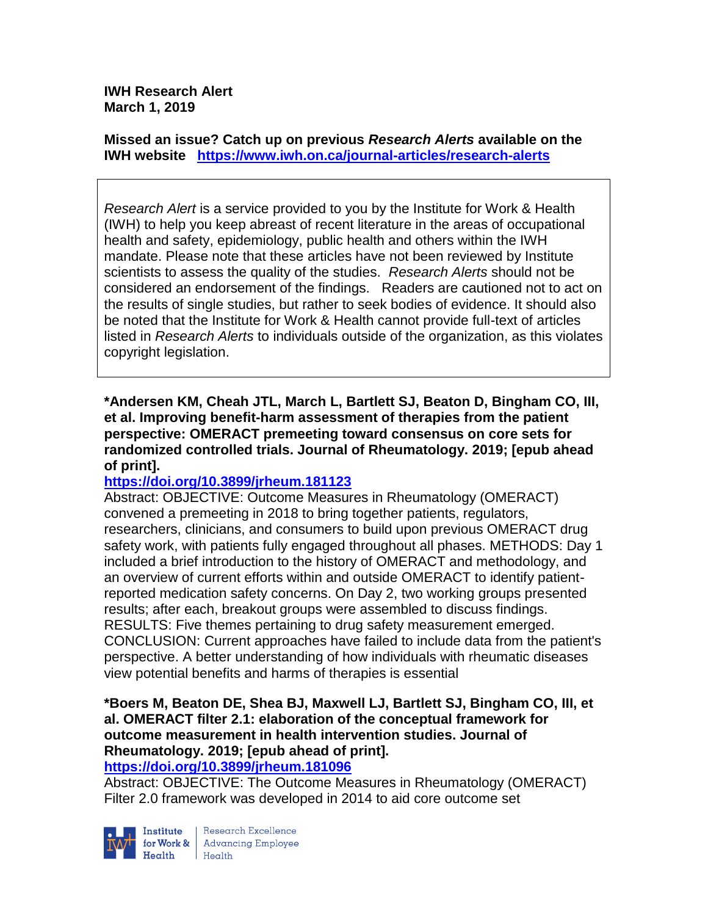**IWH Research Alert March 1, 2019**

**Missed an issue? Catch up on previous** *Research Alerts* **available on the [IWH website](http://www.iwh.on.ca/research-alerts) <https://www.iwh.on.ca/journal-articles/research-alerts>**

*Research Alert* is a service provided to you by the Institute for Work & Health (IWH) to help you keep abreast of recent literature in the areas of occupational health and safety, epidemiology, public health and others within the IWH mandate. Please note that these articles have not been reviewed by Institute scientists to assess the quality of the studies. *Research Alerts* should not be considered an endorsement of the findings. Readers are cautioned not to act on the results of single studies, but rather to seek bodies of evidence. It should also be noted that the Institute for Work & Health cannot provide full-text of articles listed in *Research Alerts* to individuals outside of the organization, as this violates copyright legislation.

**\*Andersen KM, Cheah JTL, March L, Bartlett SJ, Beaton D, Bingham CO, III, et al. Improving benefit-harm assessment of therapies from the patient perspective: OMERACT premeeting toward consensus on core sets for randomized controlled trials. Journal of Rheumatology. 2019; [epub ahead of print].**

### **<https://doi.org/10.3899/jrheum.181123>**

Abstract: OBJECTIVE: Outcome Measures in Rheumatology (OMERACT) convened a premeeting in 2018 to bring together patients, regulators, researchers, clinicians, and consumers to build upon previous OMERACT drug safety work, with patients fully engaged throughout all phases. METHODS: Day 1 included a brief introduction to the history of OMERACT and methodology, and an overview of current efforts within and outside OMERACT to identify patientreported medication safety concerns. On Day 2, two working groups presented results; after each, breakout groups were assembled to discuss findings. RESULTS: Five themes pertaining to drug safety measurement emerged. CONCLUSION: Current approaches have failed to include data from the patient's perspective. A better understanding of how individuals with rheumatic diseases view potential benefits and harms of therapies is essential

## **\*Boers M, Beaton DE, Shea BJ, Maxwell LJ, Bartlett SJ, Bingham CO, III, et al. OMERACT filter 2.1: elaboration of the conceptual framework for outcome measurement in health intervention studies. Journal of Rheumatology. 2019; [epub ahead of print].**

#### **<https://doi.org/10.3899/jrheum.181096>**

Abstract: OBJECTIVE: The Outcome Measures in Rheumatology (OMERACT) Filter 2.0 framework was developed in 2014 to aid core outcome set



Research Excellence  $Heath$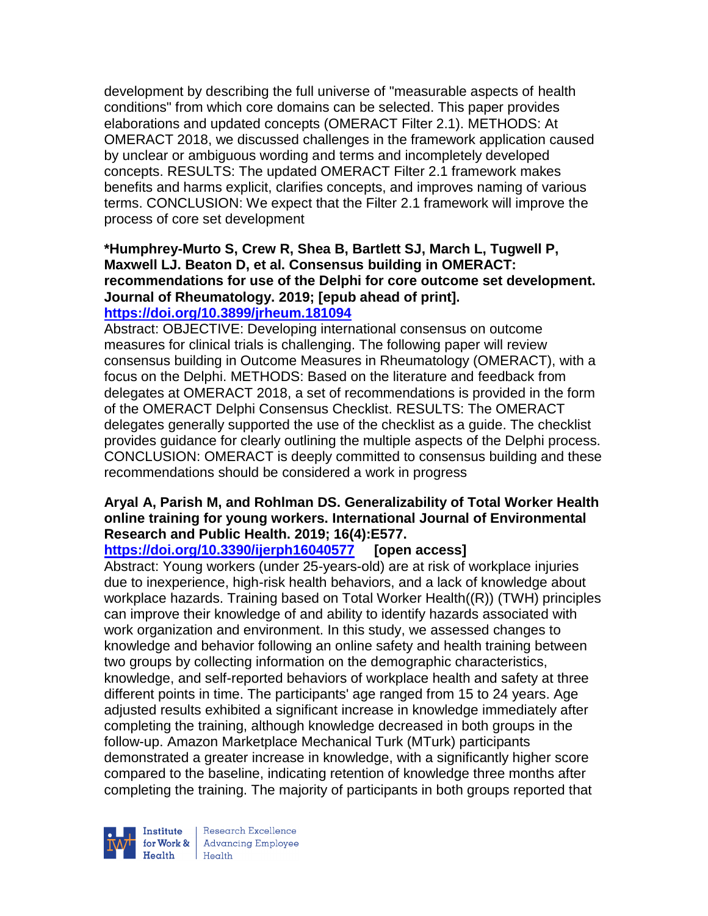development by describing the full universe of "measurable aspects of health conditions" from which core domains can be selected. This paper provides elaborations and updated concepts (OMERACT Filter 2.1). METHODS: At OMERACT 2018, we discussed challenges in the framework application caused by unclear or ambiguous wording and terms and incompletely developed concepts. RESULTS: The updated OMERACT Filter 2.1 framework makes benefits and harms explicit, clarifies concepts, and improves naming of various terms. CONCLUSION: We expect that the Filter 2.1 framework will improve the process of core set development

# **\*Humphrey-Murto S, Crew R, Shea B, Bartlett SJ, March L, Tugwell P, Maxwell LJ. Beaton D, et al. Consensus building in OMERACT: recommendations for use of the Delphi for core outcome set development. Journal of Rheumatology. 2019; [epub ahead of print].**

## **<https://doi.org/10.3899/jrheum.181094>**

Abstract: OBJECTIVE: Developing international consensus on outcome measures for clinical trials is challenging. The following paper will review consensus building in Outcome Measures in Rheumatology (OMERACT), with a focus on the Delphi. METHODS: Based on the literature and feedback from delegates at OMERACT 2018, a set of recommendations is provided in the form of the OMERACT Delphi Consensus Checklist. RESULTS: The OMERACT delegates generally supported the use of the checklist as a guide. The checklist provides guidance for clearly outlining the multiple aspects of the Delphi process. CONCLUSION: OMERACT is deeply committed to consensus building and these recommendations should be considered a work in progress

## **Aryal A, Parish M, and Rohlman DS. Generalizability of Total Worker Health online training for young workers. International Journal of Environmental Research and Public Health. 2019; 16(4):E577.**

### **<https://doi.org/10.3390/ijerph16040577> [open access]**

Abstract: Young workers (under 25-years-old) are at risk of workplace injuries due to inexperience, high-risk health behaviors, and a lack of knowledge about workplace hazards. Training based on Total Worker Health((R)) (TWH) principles can improve their knowledge of and ability to identify hazards associated with work organization and environment. In this study, we assessed changes to knowledge and behavior following an online safety and health training between two groups by collecting information on the demographic characteristics, knowledge, and self-reported behaviors of workplace health and safety at three different points in time. The participants' age ranged from 15 to 24 years. Age adjusted results exhibited a significant increase in knowledge immediately after completing the training, although knowledge decreased in both groups in the follow-up. Amazon Marketplace Mechanical Turk (MTurk) participants demonstrated a greater increase in knowledge, with a significantly higher score compared to the baseline, indicating retention of knowledge three months after completing the training. The majority of participants in both groups reported that



Research Excellence  $H_{\text{eath}}$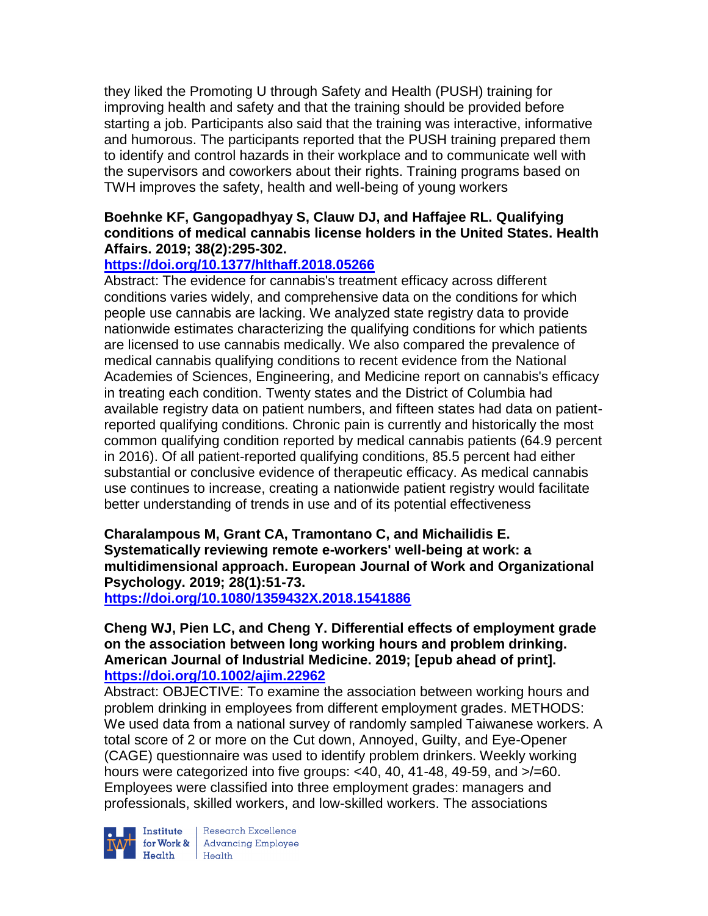they liked the Promoting U through Safety and Health (PUSH) training for improving health and safety and that the training should be provided before starting a job. Participants also said that the training was interactive, informative and humorous. The participants reported that the PUSH training prepared them to identify and control hazards in their workplace and to communicate well with the supervisors and coworkers about their rights. Training programs based on TWH improves the safety, health and well-being of young workers

### **Boehnke KF, Gangopadhyay S, Clauw DJ, and Haffajee RL. Qualifying conditions of medical cannabis license holders in the United States. Health Affairs. 2019; 38(2):295-302.**

## **<https://doi.org/10.1377/hlthaff.2018.05266>**

Abstract: The evidence for cannabis's treatment efficacy across different conditions varies widely, and comprehensive data on the conditions for which people use cannabis are lacking. We analyzed state registry data to provide nationwide estimates characterizing the qualifying conditions for which patients are licensed to use cannabis medically. We also compared the prevalence of medical cannabis qualifying conditions to recent evidence from the National Academies of Sciences, Engineering, and Medicine report on cannabis's efficacy in treating each condition. Twenty states and the District of Columbia had available registry data on patient numbers, and fifteen states had data on patientreported qualifying conditions. Chronic pain is currently and historically the most common qualifying condition reported by medical cannabis patients (64.9 percent in 2016). Of all patient-reported qualifying conditions, 85.5 percent had either substantial or conclusive evidence of therapeutic efficacy. As medical cannabis use continues to increase, creating a nationwide patient registry would facilitate better understanding of trends in use and of its potential effectiveness

**Charalampous M, Grant CA, Tramontano C, and Michailidis E. Systematically reviewing remote e-workers' well-being at work: a multidimensional approach. European Journal of Work and Organizational Psychology. 2019; 28(1):51-73.** 

**<https://doi.org/10.1080/1359432X.2018.1541886>** 

### **Cheng WJ, Pien LC, and Cheng Y. Differential effects of employment grade on the association between long working hours and problem drinking. American Journal of Industrial Medicine. 2019; [epub ahead of print]. <https://doi.org/10.1002/ajim.22962>**

Abstract: OBJECTIVE: To examine the association between working hours and problem drinking in employees from different employment grades. METHODS: We used data from a national survey of randomly sampled Taiwanese workers. A total score of 2 or more on the Cut down, Annoyed, Guilty, and Eye-Opener (CAGE) questionnaire was used to identify problem drinkers. Weekly working hours were categorized into five groups: <40, 40, 41-48, 49-59, and  $\ge$ /=60. Employees were classified into three employment grades: managers and professionals, skilled workers, and low-skilled workers. The associations



**Institute** Research Excellence<br> **for Work &** Advancing Employee<br> **Health** Health Health Health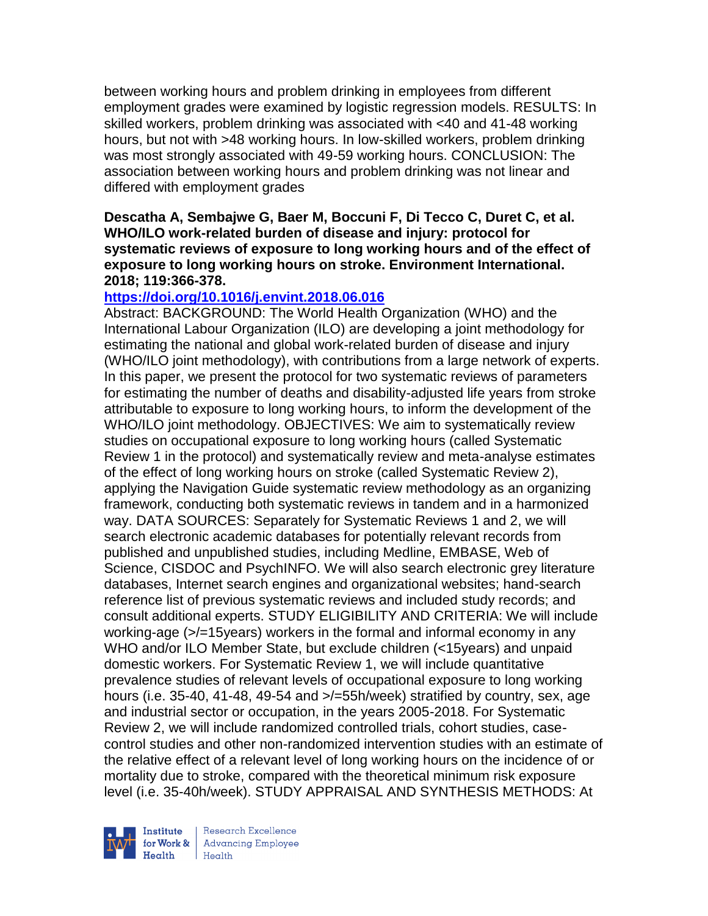between working hours and problem drinking in employees from different employment grades were examined by logistic regression models. RESULTS: In skilled workers, problem drinking was associated with <40 and 41-48 working hours, but not with >48 working hours. In low-skilled workers, problem drinking was most strongly associated with 49-59 working hours. CONCLUSION: The association between working hours and problem drinking was not linear and differed with employment grades

#### **Descatha A, Sembajwe G, Baer M, Boccuni F, Di Tecco C, Duret C, et al. WHO/ILO work-related burden of disease and injury: protocol for systematic reviews of exposure to long working hours and of the effect of exposure to long working hours on stroke. Environment International. 2018; 119:366-378.**

## **<https://doi.org/10.1016/j.envint.2018.06.016>**

Abstract: BACKGROUND: The World Health Organization (WHO) and the International Labour Organization (ILO) are developing a joint methodology for estimating the national and global work-related burden of disease and injury (WHO/ILO joint methodology), with contributions from a large network of experts. In this paper, we present the protocol for two systematic reviews of parameters for estimating the number of deaths and disability-adjusted life years from stroke attributable to exposure to long working hours, to inform the development of the WHO/ILO joint methodology. OBJECTIVES: We aim to systematically review studies on occupational exposure to long working hours (called Systematic Review 1 in the protocol) and systematically review and meta-analyse estimates of the effect of long working hours on stroke (called Systematic Review 2), applying the Navigation Guide systematic review methodology as an organizing framework, conducting both systematic reviews in tandem and in a harmonized way. DATA SOURCES: Separately for Systematic Reviews 1 and 2, we will search electronic academic databases for potentially relevant records from published and unpublished studies, including Medline, EMBASE, Web of Science, CISDOC and PsychINFO. We will also search electronic grey literature databases, Internet search engines and organizational websites; hand-search reference list of previous systematic reviews and included study records; and consult additional experts. STUDY ELIGIBILITY AND CRITERIA: We will include working-age (>/=15years) workers in the formal and informal economy in any WHO and/or ILO Member State, but exclude children (<15years) and unpaid domestic workers. For Systematic Review 1, we will include quantitative prevalence studies of relevant levels of occupational exposure to long working hours (i.e. 35-40, 41-48, 49-54 and  $\ge$ /=55h/week) stratified by country, sex, age and industrial sector or occupation, in the years 2005-2018. For Systematic Review 2, we will include randomized controlled trials, cohort studies, casecontrol studies and other non-randomized intervention studies with an estimate of the relative effect of a relevant level of long working hours on the incidence of or mortality due to stroke, compared with the theoretical minimum risk exposure level (i.e. 35-40h/week). STUDY APPRAISAL AND SYNTHESIS METHODS: At



Research Excellence for Work & | Advancing Employee Health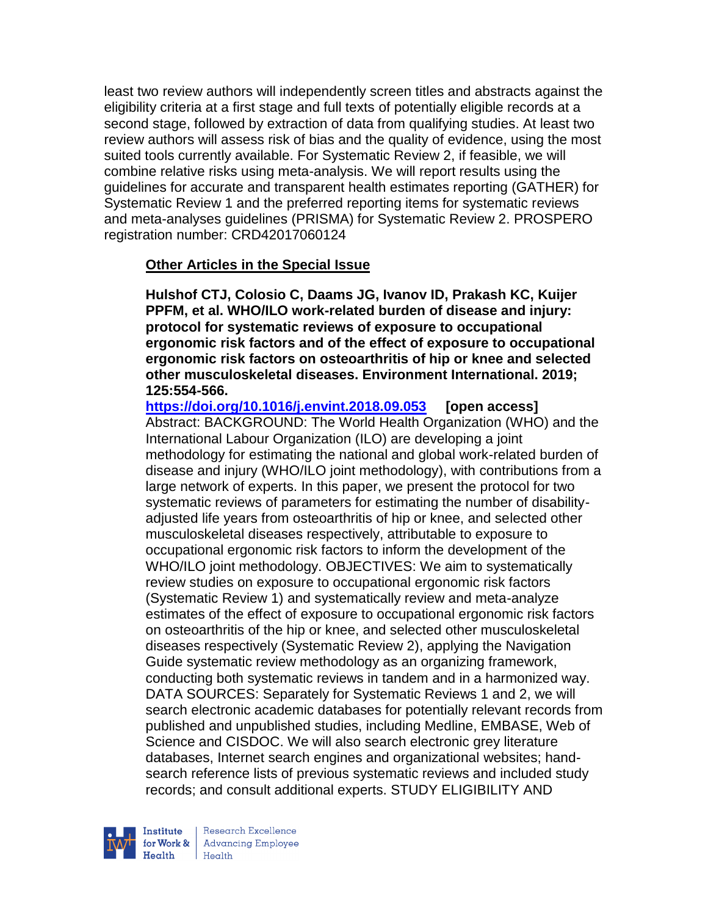least two review authors will independently screen titles and abstracts against the eligibility criteria at a first stage and full texts of potentially eligible records at a second stage, followed by extraction of data from qualifying studies. At least two review authors will assess risk of bias and the quality of evidence, using the most suited tools currently available. For Systematic Review 2, if feasible, we will combine relative risks using meta-analysis. We will report results using the guidelines for accurate and transparent health estimates reporting (GATHER) for Systematic Review 1 and the preferred reporting items for systematic reviews and meta-analyses guidelines (PRISMA) for Systematic Review 2. PROSPERO registration number: CRD42017060124

## **Other Articles in the Special Issue**

**Hulshof CTJ, Colosio C, Daams JG, Ivanov ID, Prakash KC, Kuijer PPFM, et al. WHO/ILO work-related burden of disease and injury: protocol for systematic reviews of exposure to occupational ergonomic risk factors and of the effect of exposure to occupational ergonomic risk factors on osteoarthritis of hip or knee and selected other musculoskeletal diseases. Environment International. 2019; 125:554-566.** 

**<https://doi.org/10.1016/j.envint.2018.09.053> [open access]** Abstract: BACKGROUND: The World Health Organization (WHO) and the International Labour Organization (ILO) are developing a joint methodology for estimating the national and global work-related burden of disease and injury (WHO/ILO joint methodology), with contributions from a large network of experts. In this paper, we present the protocol for two systematic reviews of parameters for estimating the number of disabilityadjusted life years from osteoarthritis of hip or knee, and selected other musculoskeletal diseases respectively, attributable to exposure to occupational ergonomic risk factors to inform the development of the WHO/ILO joint methodology. OBJECTIVES: We aim to systematically review studies on exposure to occupational ergonomic risk factors (Systematic Review 1) and systematically review and meta-analyze estimates of the effect of exposure to occupational ergonomic risk factors on osteoarthritis of the hip or knee, and selected other musculoskeletal diseases respectively (Systematic Review 2), applying the Navigation Guide systematic review methodology as an organizing framework, conducting both systematic reviews in tandem and in a harmonized way. DATA SOURCES: Separately for Systematic Reviews 1 and 2, we will search electronic academic databases for potentially relevant records from published and unpublished studies, including Medline, EMBASE, Web of Science and CISDOC. We will also search electronic grey literature databases, Internet search engines and organizational websites; handsearch reference lists of previous systematic reviews and included study records; and consult additional experts. STUDY ELIGIBILITY AND



Research Excellence for Work & Advancing Employee  $H_{\text{eath}}$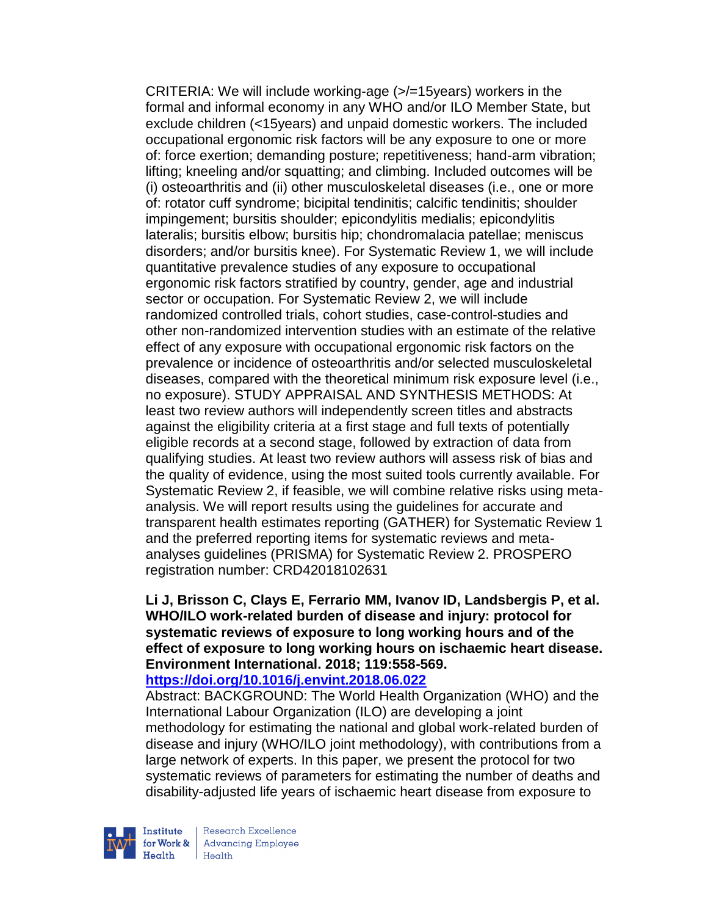CRITERIA: We will include working-age (>/=15years) workers in the formal and informal economy in any WHO and/or ILO Member State, but exclude children (<15years) and unpaid domestic workers. The included occupational ergonomic risk factors will be any exposure to one or more of: force exertion; demanding posture; repetitiveness; hand-arm vibration; lifting; kneeling and/or squatting; and climbing. Included outcomes will be (i) osteoarthritis and (ii) other musculoskeletal diseases (i.e., one or more of: rotator cuff syndrome; bicipital tendinitis; calcific tendinitis; shoulder impingement; bursitis shoulder; epicondylitis medialis; epicondylitis lateralis; bursitis elbow; bursitis hip; chondromalacia patellae; meniscus disorders; and/or bursitis knee). For Systematic Review 1, we will include quantitative prevalence studies of any exposure to occupational ergonomic risk factors stratified by country, gender, age and industrial sector or occupation. For Systematic Review 2, we will include randomized controlled trials, cohort studies, case-control-studies and other non-randomized intervention studies with an estimate of the relative effect of any exposure with occupational ergonomic risk factors on the prevalence or incidence of osteoarthritis and/or selected musculoskeletal diseases, compared with the theoretical minimum risk exposure level (i.e., no exposure). STUDY APPRAISAL AND SYNTHESIS METHODS: At least two review authors will independently screen titles and abstracts against the eligibility criteria at a first stage and full texts of potentially eligible records at a second stage, followed by extraction of data from qualifying studies. At least two review authors will assess risk of bias and the quality of evidence, using the most suited tools currently available. For Systematic Review 2, if feasible, we will combine relative risks using metaanalysis. We will report results using the guidelines for accurate and transparent health estimates reporting (GATHER) for Systematic Review 1 and the preferred reporting items for systematic reviews and metaanalyses guidelines (PRISMA) for Systematic Review 2. PROSPERO registration number: CRD42018102631

## **Li J, Brisson C, Clays E, Ferrario MM, Ivanov ID, Landsbergis P, et al. WHO/ILO work-related burden of disease and injury: protocol for systematic reviews of exposure to long working hours and of the effect of exposure to long working hours on ischaemic heart disease. Environment International. 2018; 119:558-569.**

#### **<https://doi.org/10.1016/j.envint.2018.06.022>**

Abstract: BACKGROUND: The World Health Organization (WHO) and the International Labour Organization (ILO) are developing a joint methodology for estimating the national and global work-related burden of disease and injury (WHO/ILO joint methodology), with contributions from a large network of experts. In this paper, we present the protocol for two systematic reviews of parameters for estimating the number of deaths and disability-adjusted life years of ischaemic heart disease from exposure to



Research Excellence for Work & Advancing Employee Health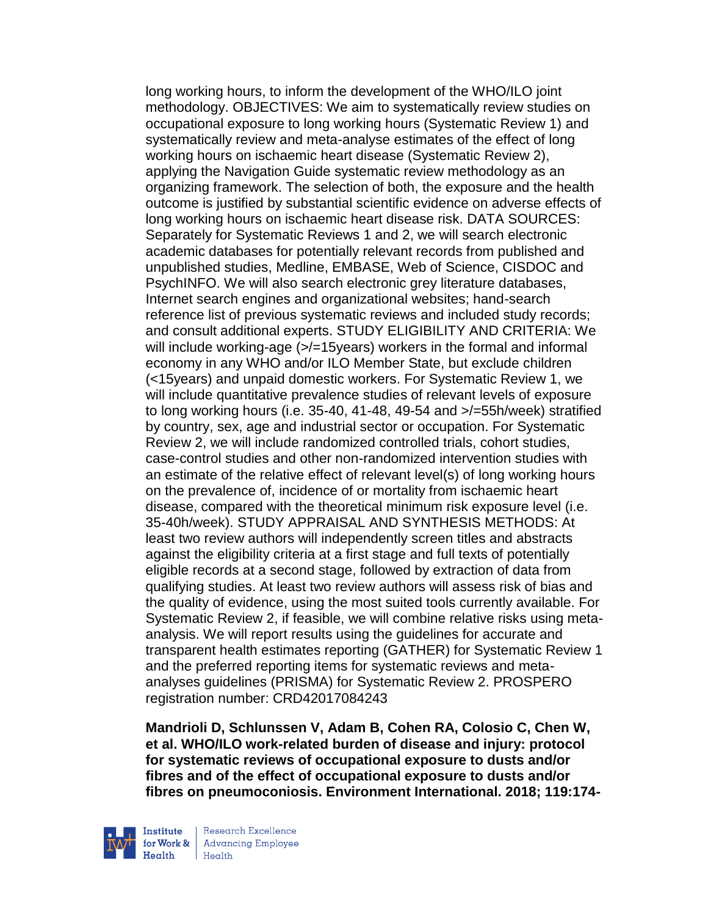long working hours, to inform the development of the WHO/ILO joint methodology. OBJECTIVES: We aim to systematically review studies on occupational exposure to long working hours (Systematic Review 1) and systematically review and meta-analyse estimates of the effect of long working hours on ischaemic heart disease (Systematic Review 2), applying the Navigation Guide systematic review methodology as an organizing framework. The selection of both, the exposure and the health outcome is justified by substantial scientific evidence on adverse effects of long working hours on ischaemic heart disease risk. DATA SOURCES: Separately for Systematic Reviews 1 and 2, we will search electronic academic databases for potentially relevant records from published and unpublished studies, Medline, EMBASE, Web of Science, CISDOC and PsychINFO. We will also search electronic grey literature databases, Internet search engines and organizational websites; hand-search reference list of previous systematic reviews and included study records; and consult additional experts. STUDY ELIGIBILITY AND CRITERIA: We will include working-age (>/=15years) workers in the formal and informal economy in any WHO and/or ILO Member State, but exclude children (<15years) and unpaid domestic workers. For Systematic Review 1, we will include quantitative prevalence studies of relevant levels of exposure to long working hours (i.e. 35-40, 41-48, 49-54 and >/=55h/week) stratified by country, sex, age and industrial sector or occupation. For Systematic Review 2, we will include randomized controlled trials, cohort studies, case-control studies and other non-randomized intervention studies with an estimate of the relative effect of relevant level(s) of long working hours on the prevalence of, incidence of or mortality from ischaemic heart disease, compared with the theoretical minimum risk exposure level (i.e. 35-40h/week). STUDY APPRAISAL AND SYNTHESIS METHODS: At least two review authors will independently screen titles and abstracts against the eligibility criteria at a first stage and full texts of potentially eligible records at a second stage, followed by extraction of data from qualifying studies. At least two review authors will assess risk of bias and the quality of evidence, using the most suited tools currently available. For Systematic Review 2, if feasible, we will combine relative risks using metaanalysis. We will report results using the guidelines for accurate and transparent health estimates reporting (GATHER) for Systematic Review 1 and the preferred reporting items for systematic reviews and metaanalyses guidelines (PRISMA) for Systematic Review 2. PROSPERO registration number: CRD42017084243

**Mandrioli D, Schlunssen V, Adam B, Cohen RA, Colosio C, Chen W, et al. WHO/ILO work-related burden of disease and injury: protocol for systematic reviews of occupational exposure to dusts and/or fibres and of the effect of occupational exposure to dusts and/or fibres on pneumoconiosis. Environment International. 2018; 119:174-**



Research Excellence **Advancing Employee**  $H_{\text{each}}$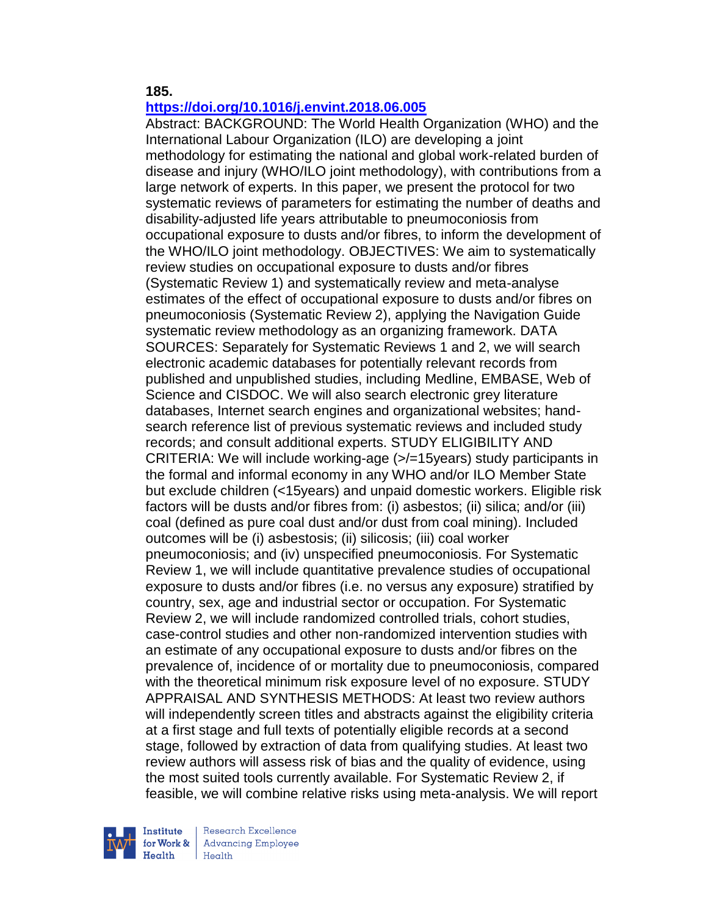**185.** 

# **<https://doi.org/10.1016/j.envint.2018.06.005>**

Abstract: BACKGROUND: The World Health Organization (WHO) and the International Labour Organization (ILO) are developing a joint methodology for estimating the national and global work-related burden of disease and injury (WHO/ILO joint methodology), with contributions from a large network of experts. In this paper, we present the protocol for two systematic reviews of parameters for estimating the number of deaths and disability-adjusted life years attributable to pneumoconiosis from occupational exposure to dusts and/or fibres, to inform the development of the WHO/ILO joint methodology. OBJECTIVES: We aim to systematically review studies on occupational exposure to dusts and/or fibres (Systematic Review 1) and systematically review and meta-analyse estimates of the effect of occupational exposure to dusts and/or fibres on pneumoconiosis (Systematic Review 2), applying the Navigation Guide systematic review methodology as an organizing framework. DATA SOURCES: Separately for Systematic Reviews 1 and 2, we will search electronic academic databases for potentially relevant records from published and unpublished studies, including Medline, EMBASE, Web of Science and CISDOC. We will also search electronic grey literature databases, Internet search engines and organizational websites; handsearch reference list of previous systematic reviews and included study records; and consult additional experts. STUDY ELIGIBILITY AND CRITERIA: We will include working-age (>/=15years) study participants in the formal and informal economy in any WHO and/or ILO Member State but exclude children (<15years) and unpaid domestic workers. Eligible risk factors will be dusts and/or fibres from: (i) asbestos; (ii) silica; and/or (iii) coal (defined as pure coal dust and/or dust from coal mining). Included outcomes will be (i) asbestosis; (ii) silicosis; (iii) coal worker pneumoconiosis; and (iv) unspecified pneumoconiosis. For Systematic Review 1, we will include quantitative prevalence studies of occupational exposure to dusts and/or fibres (i.e. no versus any exposure) stratified by country, sex, age and industrial sector or occupation. For Systematic Review 2, we will include randomized controlled trials, cohort studies, case-control studies and other non-randomized intervention studies with an estimate of any occupational exposure to dusts and/or fibres on the prevalence of, incidence of or mortality due to pneumoconiosis, compared with the theoretical minimum risk exposure level of no exposure. STUDY APPRAISAL AND SYNTHESIS METHODS: At least two review authors will independently screen titles and abstracts against the eligibility criteria at a first stage and full texts of potentially eligible records at a second stage, followed by extraction of data from qualifying studies. At least two review authors will assess risk of bias and the quality of evidence, using the most suited tools currently available. For Systematic Review 2, if feasible, we will combine relative risks using meta-analysis. We will report



Research Excellence for Work & Advancing Employee  $H_{\text{each}}$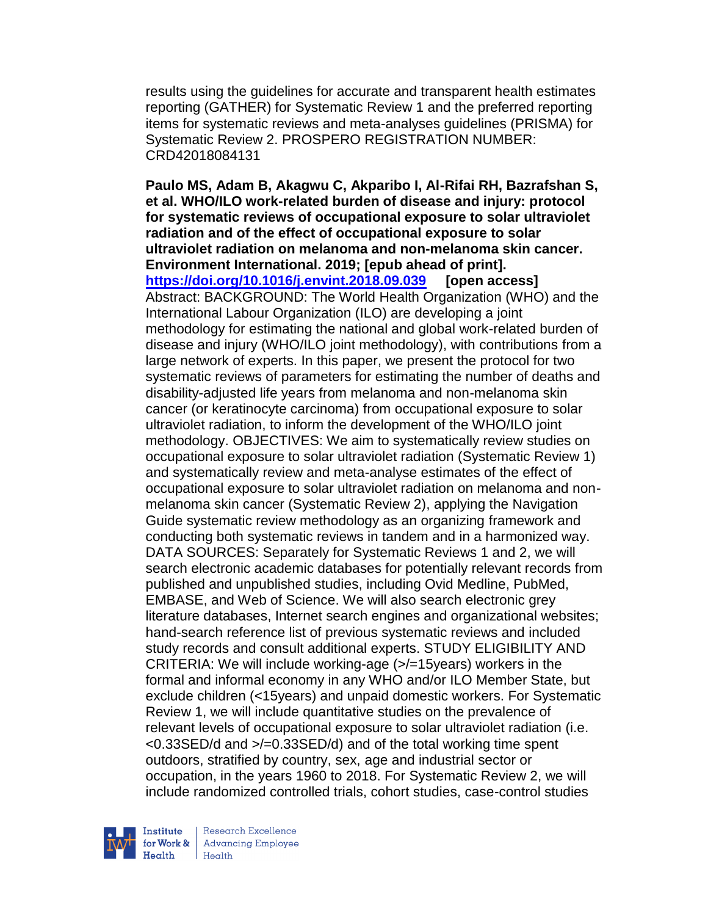results using the guidelines for accurate and transparent health estimates reporting (GATHER) for Systematic Review 1 and the preferred reporting items for systematic reviews and meta-analyses guidelines (PRISMA) for Systematic Review 2. PROSPERO REGISTRATION NUMBER: CRD42018084131

**Paulo MS, Adam B, Akagwu C, Akparibo I, Al-Rifai RH, Bazrafshan S, et al. WHO/ILO work-related burden of disease and injury: protocol for systematic reviews of occupational exposure to solar ultraviolet radiation and of the effect of occupational exposure to solar ultraviolet radiation on melanoma and non-melanoma skin cancer. Environment International. 2019; [epub ahead of print]. <https://doi.org/10.1016/j.envint.2018.09.039> [open access]** Abstract: BACKGROUND: The World Health Organization (WHO) and the International Labour Organization (ILO) are developing a joint methodology for estimating the national and global work-related burden of disease and injury (WHO/ILO joint methodology), with contributions from a large network of experts. In this paper, we present the protocol for two systematic reviews of parameters for estimating the number of deaths and disability-adjusted life years from melanoma and non-melanoma skin cancer (or keratinocyte carcinoma) from occupational exposure to solar ultraviolet radiation, to inform the development of the WHO/ILO joint methodology. OBJECTIVES: We aim to systematically review studies on occupational exposure to solar ultraviolet radiation (Systematic Review 1) and systematically review and meta-analyse estimates of the effect of occupational exposure to solar ultraviolet radiation on melanoma and nonmelanoma skin cancer (Systematic Review 2), applying the Navigation Guide systematic review methodology as an organizing framework and conducting both systematic reviews in tandem and in a harmonized way. DATA SOURCES: Separately for Systematic Reviews 1 and 2, we will search electronic academic databases for potentially relevant records from published and unpublished studies, including Ovid Medline, PubMed, EMBASE, and Web of Science. We will also search electronic grey literature databases, Internet search engines and organizational websites; hand-search reference list of previous systematic reviews and included study records and consult additional experts. STUDY ELIGIBILITY AND CRITERIA: We will include working-age (>/=15years) workers in the formal and informal economy in any WHO and/or ILO Member State, but exclude children (<15years) and unpaid domestic workers. For Systematic Review 1, we will include quantitative studies on the prevalence of relevant levels of occupational exposure to solar ultraviolet radiation (i.e. <0.33SED/d and >/=0.33SED/d) and of the total working time spent outdoors, stratified by country, sex, age and industrial sector or occupation, in the years 1960 to 2018. For Systematic Review 2, we will include randomized controlled trials, cohort studies, case-control studies



Research Excellence for Work & | Advancing Employee  $H_{\text{each}}$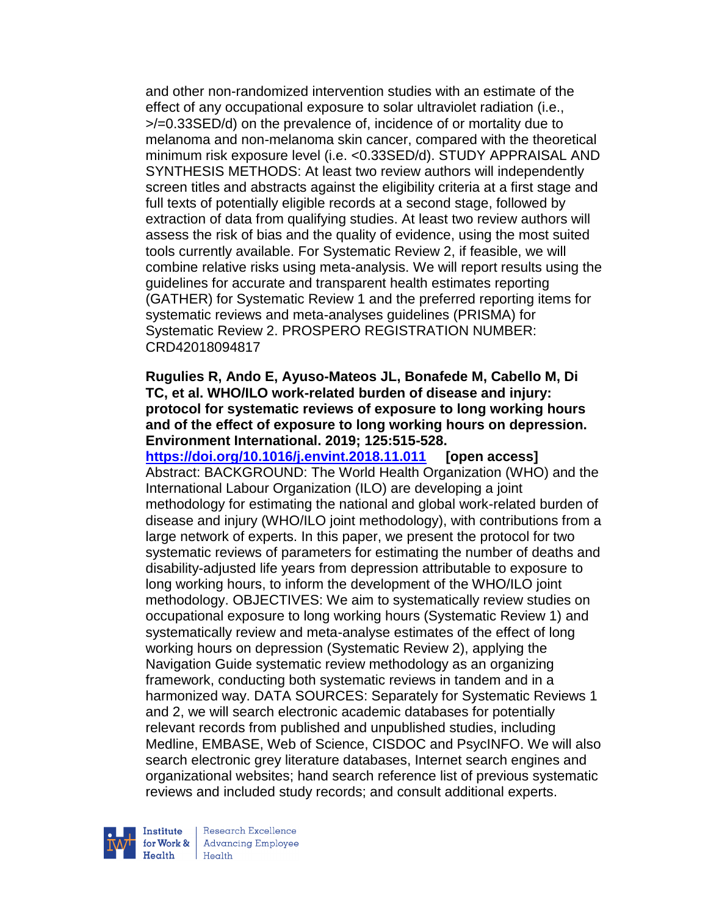and other non-randomized intervention studies with an estimate of the effect of any occupational exposure to solar ultraviolet radiation (i.e., >/=0.33SED/d) on the prevalence of, incidence of or mortality due to melanoma and non-melanoma skin cancer, compared with the theoretical minimum risk exposure level (i.e. <0.33SED/d). STUDY APPRAISAL AND SYNTHESIS METHODS: At least two review authors will independently screen titles and abstracts against the eligibility criteria at a first stage and full texts of potentially eligible records at a second stage, followed by extraction of data from qualifying studies. At least two review authors will assess the risk of bias and the quality of evidence, using the most suited tools currently available. For Systematic Review 2, if feasible, we will combine relative risks using meta-analysis. We will report results using the guidelines for accurate and transparent health estimates reporting (GATHER) for Systematic Review 1 and the preferred reporting items for systematic reviews and meta-analyses guidelines (PRISMA) for Systematic Review 2. PROSPERO REGISTRATION NUMBER: CRD42018094817

### **Rugulies R, Ando E, Ayuso-Mateos JL, Bonafede M, Cabello M, Di TC, et al. WHO/ILO work-related burden of disease and injury: protocol for systematic reviews of exposure to long working hours and of the effect of exposure to long working hours on depression. Environment International. 2019; 125:515-528.**

**<https://doi.org/10.1016/j.envint.2018.11.011> [open access]** Abstract: BACKGROUND: The World Health Organization (WHO) and the International Labour Organization (ILO) are developing a joint methodology for estimating the national and global work-related burden of disease and injury (WHO/ILO joint methodology), with contributions from a large network of experts. In this paper, we present the protocol for two systematic reviews of parameters for estimating the number of deaths and disability-adjusted life years from depression attributable to exposure to long working hours, to inform the development of the WHO/ILO joint methodology. OBJECTIVES: We aim to systematically review studies on occupational exposure to long working hours (Systematic Review 1) and systematically review and meta-analyse estimates of the effect of long working hours on depression (Systematic Review 2), applying the Navigation Guide systematic review methodology as an organizing framework, conducting both systematic reviews in tandem and in a harmonized way. DATA SOURCES: Separately for Systematic Reviews 1 and 2, we will search electronic academic databases for potentially relevant records from published and unpublished studies, including Medline, EMBASE, Web of Science, CISDOC and PsycINFO. We will also search electronic grey literature databases, Internet search engines and organizational websites; hand search reference list of previous systematic reviews and included study records; and consult additional experts.



Research Excellence for Work & Advancing Employee  $H_{\text{eath}}$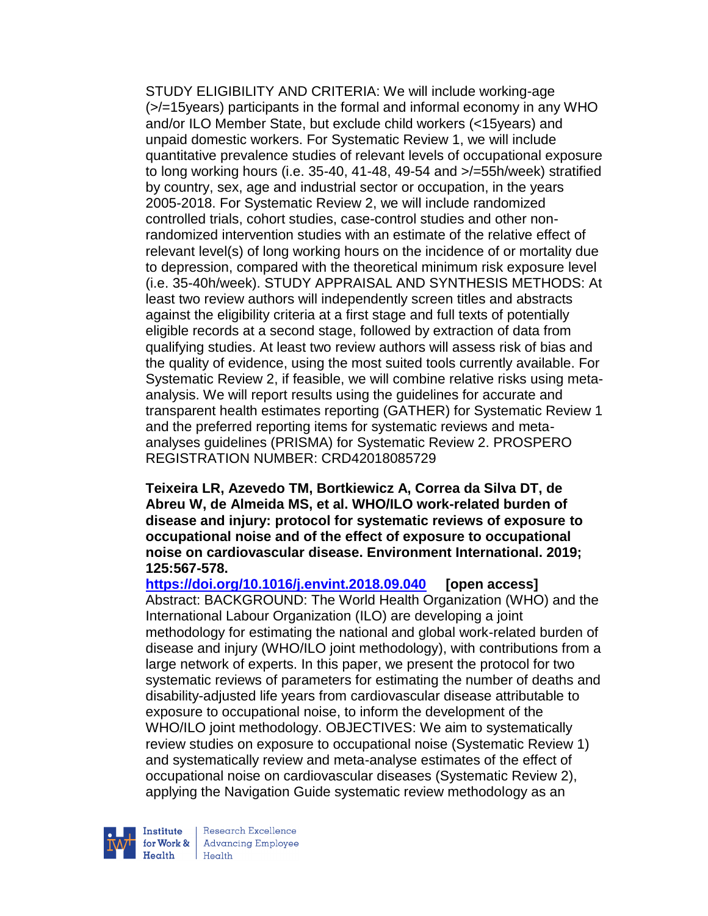STUDY ELIGIBILITY AND CRITERIA: We will include working-age (>/=15years) participants in the formal and informal economy in any WHO and/or ILO Member State, but exclude child workers (<15years) and unpaid domestic workers. For Systematic Review 1, we will include quantitative prevalence studies of relevant levels of occupational exposure to long working hours (i.e. 35-40, 41-48, 49-54 and >/=55h/week) stratified by country, sex, age and industrial sector or occupation, in the years 2005-2018. For Systematic Review 2, we will include randomized controlled trials, cohort studies, case-control studies and other nonrandomized intervention studies with an estimate of the relative effect of relevant level(s) of long working hours on the incidence of or mortality due to depression, compared with the theoretical minimum risk exposure level (i.e. 35-40h/week). STUDY APPRAISAL AND SYNTHESIS METHODS: At least two review authors will independently screen titles and abstracts against the eligibility criteria at a first stage and full texts of potentially eligible records at a second stage, followed by extraction of data from qualifying studies. At least two review authors will assess risk of bias and the quality of evidence, using the most suited tools currently available. For Systematic Review 2, if feasible, we will combine relative risks using metaanalysis. We will report results using the guidelines for accurate and transparent health estimates reporting (GATHER) for Systematic Review 1 and the preferred reporting items for systematic reviews and metaanalyses guidelines (PRISMA) for Systematic Review 2. PROSPERO REGISTRATION NUMBER: CRD42018085729

**Teixeira LR, Azevedo TM, Bortkiewicz A, Correa da Silva DT, de Abreu W, de Almeida MS, et al. WHO/ILO work-related burden of disease and injury: protocol for systematic reviews of exposure to occupational noise and of the effect of exposure to occupational noise on cardiovascular disease. Environment International. 2019; 125:567-578.** 

**<https://doi.org/10.1016/j.envint.2018.09.040> [open access]** Abstract: BACKGROUND: The World Health Organization (WHO) and the International Labour Organization (ILO) are developing a joint methodology for estimating the national and global work-related burden of disease and injury (WHO/ILO joint methodology), with contributions from a large network of experts. In this paper, we present the protocol for two systematic reviews of parameters for estimating the number of deaths and disability-adjusted life years from cardiovascular disease attributable to exposure to occupational noise, to inform the development of the WHO/ILO joint methodology. OBJECTIVES: We aim to systematically review studies on exposure to occupational noise (Systematic Review 1) and systematically review and meta-analyse estimates of the effect of occupational noise on cardiovascular diseases (Systematic Review 2), applying the Navigation Guide systematic review methodology as an



Research Excellence for Work & | Advancing Employee  $H_{\text{each}}$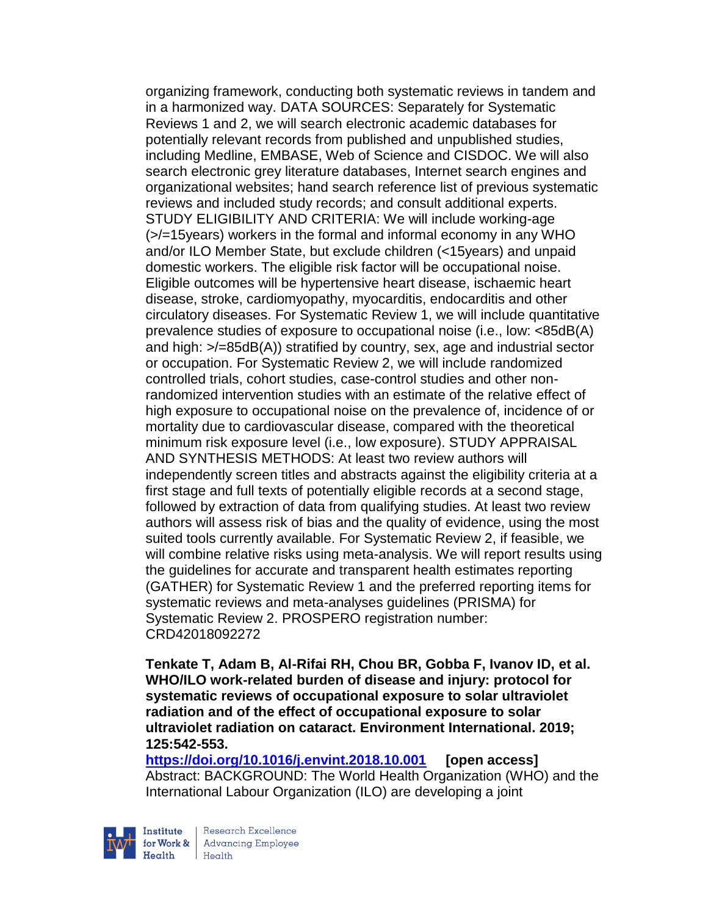organizing framework, conducting both systematic reviews in tandem and in a harmonized way. DATA SOURCES: Separately for Systematic Reviews 1 and 2, we will search electronic academic databases for potentially relevant records from published and unpublished studies, including Medline, EMBASE, Web of Science and CISDOC. We will also search electronic grey literature databases, Internet search engines and organizational websites; hand search reference list of previous systematic reviews and included study records; and consult additional experts. STUDY ELIGIBILITY AND CRITERIA: We will include working-age (>/=15years) workers in the formal and informal economy in any WHO and/or ILO Member State, but exclude children (<15years) and unpaid domestic workers. The eligible risk factor will be occupational noise. Eligible outcomes will be hypertensive heart disease, ischaemic heart disease, stroke, cardiomyopathy, myocarditis, endocarditis and other circulatory diseases. For Systematic Review 1, we will include quantitative prevalence studies of exposure to occupational noise (i.e., low: <85dB(A) and high: >/=85dB(A)) stratified by country, sex, age and industrial sector or occupation. For Systematic Review 2, we will include randomized controlled trials, cohort studies, case-control studies and other nonrandomized intervention studies with an estimate of the relative effect of high exposure to occupational noise on the prevalence of, incidence of or mortality due to cardiovascular disease, compared with the theoretical minimum risk exposure level (i.e., low exposure). STUDY APPRAISAL AND SYNTHESIS METHODS: At least two review authors will independently screen titles and abstracts against the eligibility criteria at a first stage and full texts of potentially eligible records at a second stage, followed by extraction of data from qualifying studies. At least two review authors will assess risk of bias and the quality of evidence, using the most suited tools currently available. For Systematic Review 2, if feasible, we will combine relative risks using meta-analysis. We will report results using the guidelines for accurate and transparent health estimates reporting (GATHER) for Systematic Review 1 and the preferred reporting items for systematic reviews and meta-analyses guidelines (PRISMA) for Systematic Review 2. PROSPERO registration number: CRD42018092272

**Tenkate T, Adam B, Al-Rifai RH, Chou BR, Gobba F, Ivanov ID, et al. WHO/ILO work-related burden of disease and injury: protocol for systematic reviews of occupational exposure to solar ultraviolet radiation and of the effect of occupational exposure to solar ultraviolet radiation on cataract. Environment International. 2019; 125:542-553.** 

**<https://doi.org/10.1016/j.envint.2018.10.001> [open access]** Abstract: BACKGROUND: The World Health Organization (WHO) and the International Labour Organization (ILO) are developing a joint



Research Excellence for Work & | Advancing Employee Health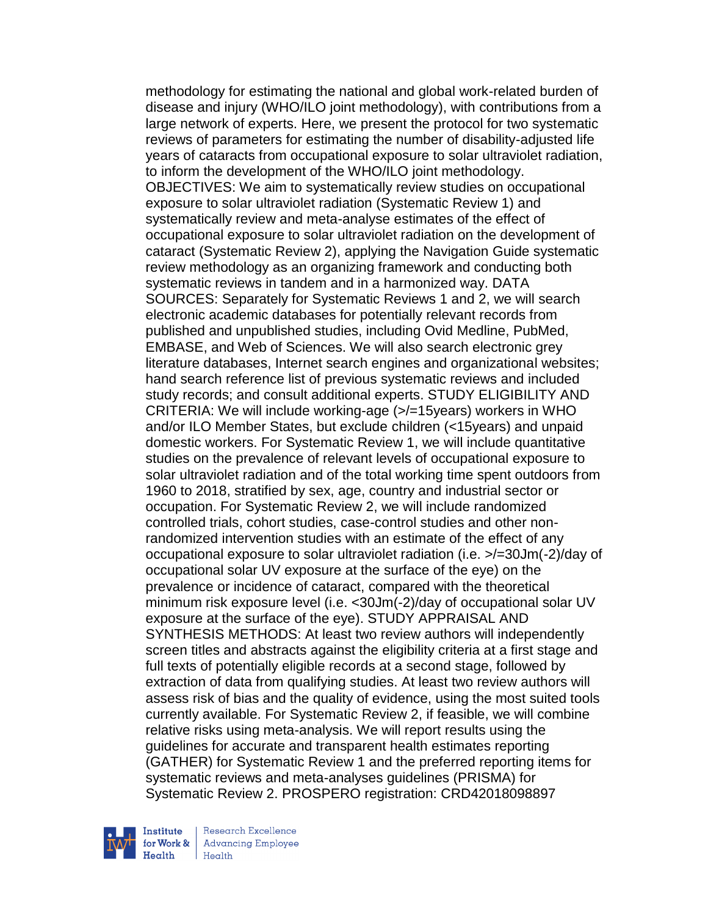methodology for estimating the national and global work-related burden of disease and injury (WHO/ILO joint methodology), with contributions from a large network of experts. Here, we present the protocol for two systematic reviews of parameters for estimating the number of disability-adjusted life years of cataracts from occupational exposure to solar ultraviolet radiation, to inform the development of the WHO/ILO joint methodology. OBJECTIVES: We aim to systematically review studies on occupational exposure to solar ultraviolet radiation (Systematic Review 1) and systematically review and meta-analyse estimates of the effect of occupational exposure to solar ultraviolet radiation on the development of cataract (Systematic Review 2), applying the Navigation Guide systematic review methodology as an organizing framework and conducting both systematic reviews in tandem and in a harmonized way. DATA SOURCES: Separately for Systematic Reviews 1 and 2, we will search electronic academic databases for potentially relevant records from published and unpublished studies, including Ovid Medline, PubMed, EMBASE, and Web of Sciences. We will also search electronic grey literature databases, Internet search engines and organizational websites; hand search reference list of previous systematic reviews and included study records; and consult additional experts. STUDY ELIGIBILITY AND CRITERIA: We will include working-age (>/=15years) workers in WHO and/or ILO Member States, but exclude children (<15years) and unpaid domestic workers. For Systematic Review 1, we will include quantitative studies on the prevalence of relevant levels of occupational exposure to solar ultraviolet radiation and of the total working time spent outdoors from 1960 to 2018, stratified by sex, age, country and industrial sector or occupation. For Systematic Review 2, we will include randomized controlled trials, cohort studies, case-control studies and other nonrandomized intervention studies with an estimate of the effect of any occupational exposure to solar ultraviolet radiation (i.e. >/=30Jm(-2)/day of occupational solar UV exposure at the surface of the eye) on the prevalence or incidence of cataract, compared with the theoretical minimum risk exposure level (i.e. <30Jm(-2)/day of occupational solar UV exposure at the surface of the eye). STUDY APPRAISAL AND SYNTHESIS METHODS: At least two review authors will independently screen titles and abstracts against the eligibility criteria at a first stage and full texts of potentially eligible records at a second stage, followed by extraction of data from qualifying studies. At least two review authors will assess risk of bias and the quality of evidence, using the most suited tools currently available. For Systematic Review 2, if feasible, we will combine relative risks using meta-analysis. We will report results using the guidelines for accurate and transparent health estimates reporting (GATHER) for Systematic Review 1 and the preferred reporting items for systematic reviews and meta-analyses guidelines (PRISMA) for Systematic Review 2. PROSPERO registration: CRD42018098897



Research Excellence **Advancing Employee** Health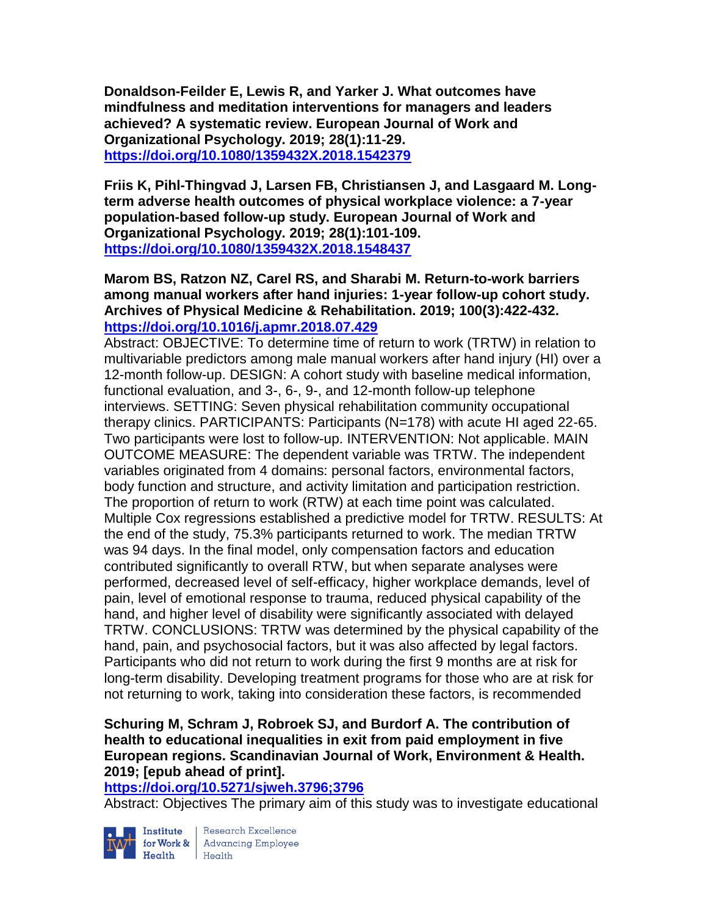**Donaldson-Feilder E, Lewis R, and Yarker J. What outcomes have mindfulness and meditation interventions for managers and leaders achieved? A systematic review. European Journal of Work and Organizational Psychology. 2019; 28(1):11-29. <https://doi.org/10.1080/1359432X.2018.1542379>** 

**Friis K, Pihl-Thingvad J, Larsen FB, Christiansen J, and Lasgaard M. Longterm adverse health outcomes of physical workplace violence: a 7-year population-based follow-up study. European Journal of Work and Organizational Psychology. 2019; 28(1):101-109. <https://doi.org/10.1080/1359432X.2018.1548437>** 

**Marom BS, Ratzon NZ, Carel RS, and Sharabi M. Return-to-work barriers among manual workers after hand injuries: 1-year follow-up cohort study. Archives of Physical Medicine & Rehabilitation. 2019; 100(3):422-432. <https://doi.org/10.1016/j.apmr.2018.07.429>** 

Abstract: OBJECTIVE: To determine time of return to work (TRTW) in relation to multivariable predictors among male manual workers after hand injury (HI) over a 12-month follow-up. DESIGN: A cohort study with baseline medical information, functional evaluation, and 3-, 6-, 9-, and 12-month follow-up telephone interviews. SETTING: Seven physical rehabilitation community occupational therapy clinics. PARTICIPANTS: Participants (N=178) with acute HI aged 22-65. Two participants were lost to follow-up. INTERVENTION: Not applicable. MAIN OUTCOME MEASURE: The dependent variable was TRTW. The independent variables originated from 4 domains: personal factors, environmental factors, body function and structure, and activity limitation and participation restriction. The proportion of return to work (RTW) at each time point was calculated. Multiple Cox regressions established a predictive model for TRTW. RESULTS: At the end of the study, 75.3% participants returned to work. The median TRTW was 94 days. In the final model, only compensation factors and education contributed significantly to overall RTW, but when separate analyses were performed, decreased level of self-efficacy, higher workplace demands, level of pain, level of emotional response to trauma, reduced physical capability of the hand, and higher level of disability were significantly associated with delayed TRTW. CONCLUSIONS: TRTW was determined by the physical capability of the hand, pain, and psychosocial factors, but it was also affected by legal factors. Participants who did not return to work during the first 9 months are at risk for long-term disability. Developing treatment programs for those who are at risk for not returning to work, taking into consideration these factors, is recommended

# **Schuring M, Schram J, Robroek SJ, and Burdorf A. The contribution of health to educational inequalities in exit from paid employment in five European regions. Scandinavian Journal of Work, Environment & Health. 2019; [epub ahead of print].**

**<https://doi.org/10.5271/sjweh.3796;3796>** 

Abstract: Objectives The primary aim of this study was to investigate educational



Institute Research Excellence<br>for Work & Advancing Employee<br>Health Health Health